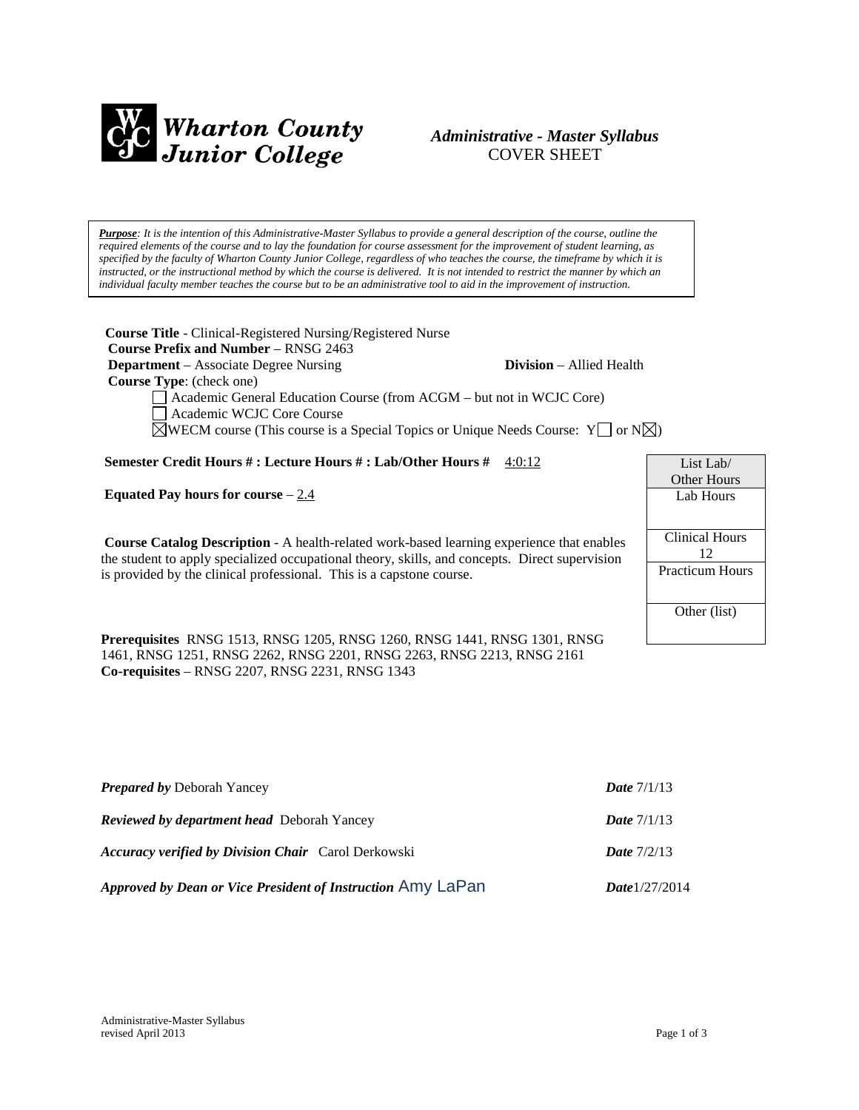

# *Administrative - Master Syllabus*  COVER SHEET

*Purpose: It is the intention of this Administrative-Master Syllabus to provide a general description of the course, outline the required elements of the course and to lay the foundation for course assessment for the improvement of student learning, as specified by the faculty of Wharton County Junior College, regardless of who teaches the course, the timeframe by which it is instructed, or the instructional method by which the course is delivered. It is not intended to restrict the manner by which an individual faculty member teaches the course but to be an administrative tool to aid in the improvement of instruction.*

**Course Title** - Clinical-Registered Nursing/Registered Nurse  **Course Prefix and Number** – RNSG 2463 **Department** – Associate Degree Nursing **Division** – Allied Health

 **Course Type**: (check one)

Academic General Education Course (from ACGM – but not in WCJC Core)

Academic WCJC Core Course

 $\boxtimes$ WECM course (This course is a Special Topics or Unique Needs Course: Y  $\Box$  or N $\boxtimes$ )

**Semester Credit Hours # : Lecture Hours # : Lab/Other Hours #** 4:0:12

**Equated Pay hours for course** – 2.4

**Course Catalog Description** - A health-related work-based learning experience that enables the student to apply specialized occupational theory, skills, and concepts. Direct supervision is provided by the clinical professional. This is a capstone course.

**Prerequisites** RNSG 1513, RNSG 1205, RNSG 1260, RNSG 1441, RNSG 1301, RNSG 1461, RNSG 1251, RNSG 2262, RNSG 2201, RNSG 2263, RNSG 2213, RNSG 2161 **Co-requisites** – RNSG 2207, RNSG 2231, RNSG 1343

| <b>Prepared by Deborah Yancey</b>                           | <b>Date</b> $7/1/13$ |
|-------------------------------------------------------------|----------------------|
| <b>Reviewed by department head</b> Deborah Yancey           | <b>Date</b> $7/1/13$ |
| <b>Accuracy verified by Division Chair</b> Carol Derkowski  | <b>Date</b> $7/2/13$ |
| Approved by Dean or Vice President of Instruction Amy LaPan | Date $1/27/2014$     |

| List Lab/              |
|------------------------|
| Other Hours            |
| Lab Hours              |
|                        |
| Clinical Hours         |
| 12                     |
| <b>Practicum Hours</b> |
|                        |
| Other (list)           |
|                        |
|                        |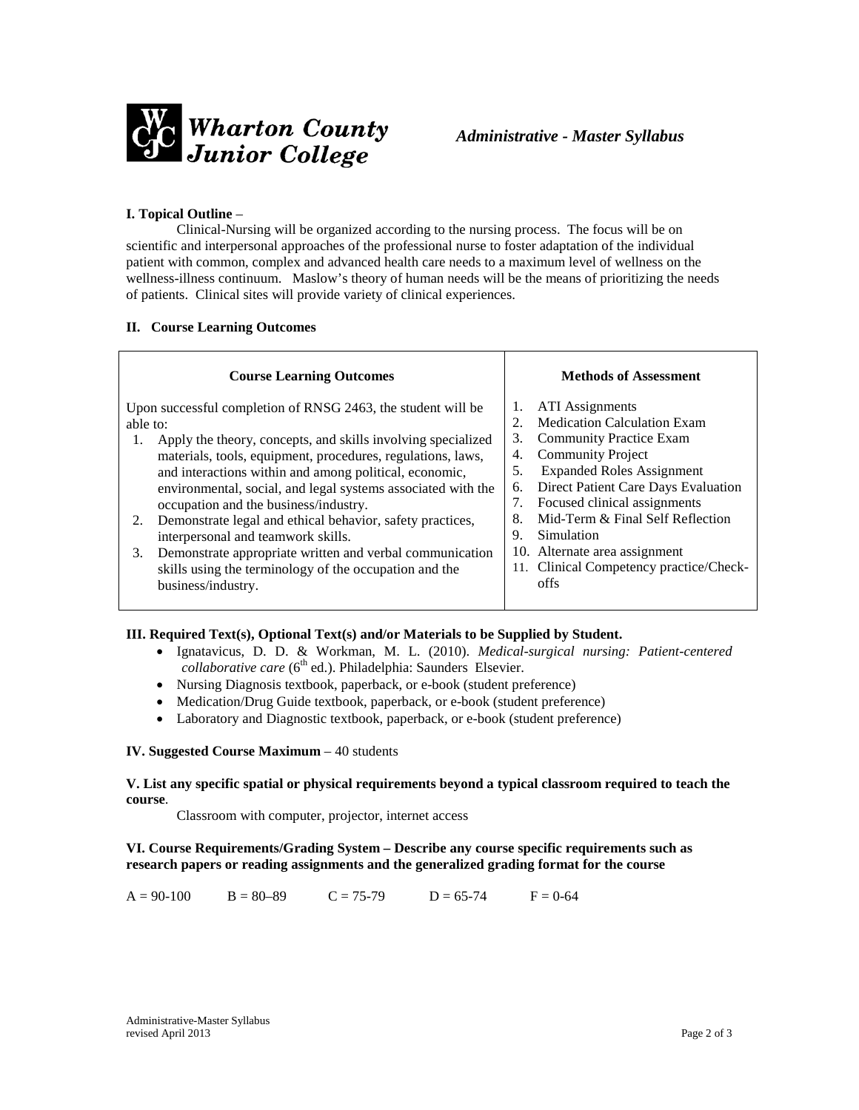

### **I. Topical Outline** –

Clinical-Nursing will be organized according to the nursing process. The focus will be on scientific and interpersonal approaches of the professional nurse to foster adaptation of the individual patient with common, complex and advanced health care needs to a maximum level of wellness on the wellness-illness continuum. Maslow's theory of human needs will be the means of prioritizing the needs of patients. Clinical sites will provide variety of clinical experiences.

#### **II. Course Learning Outcomes**

| <b>Course Learning Outcomes</b>                                                                                                                                                                                                                                                                                                                                                                                                                                                                                                                                                                                                             | <b>Methods of Assessment</b>                                                                                                                                                                                                                                                                                                                                                                                  |
|---------------------------------------------------------------------------------------------------------------------------------------------------------------------------------------------------------------------------------------------------------------------------------------------------------------------------------------------------------------------------------------------------------------------------------------------------------------------------------------------------------------------------------------------------------------------------------------------------------------------------------------------|---------------------------------------------------------------------------------------------------------------------------------------------------------------------------------------------------------------------------------------------------------------------------------------------------------------------------------------------------------------------------------------------------------------|
| Upon successful completion of RNSG 2463, the student will be<br>able to:<br>Apply the theory, concepts, and skills involving specialized<br>1.<br>materials, tools, equipment, procedures, regulations, laws,<br>and interactions within and among political, economic,<br>environmental, social, and legal systems associated with the<br>occupation and the business/industry.<br>Demonstrate legal and ethical behavior, safety practices,<br>2.<br>interpersonal and teamwork skills.<br>Demonstrate appropriate written and verbal communication<br>3.<br>skills using the terminology of the occupation and the<br>business/industry. | ATI Assignments<br>Medication Calculation Exam<br>2.<br><b>Community Practice Exam</b><br>3.<br><b>Community Project</b><br>4.<br><b>Expanded Roles Assignment</b><br>5.<br>Direct Patient Care Days Evaluation<br>6.<br>Focused clinical assignments<br>7.<br>Mid-Term & Final Self Reflection<br>8.<br>Simulation<br>9.<br>10. Alternate area assignment<br>11. Clinical Competency practice/Check-<br>offs |

# **III. Required Text(s), Optional Text(s) and/or Materials to be Supplied by Student.**

- Ignatavicus, D. D. & Workman, M. L. (2010). *Medical-surgical nursing: Patient-centered collaborative care* (6<sup>th</sup> ed.). Philadelphia: Saunders Elsevier.
- Nursing Diagnosis textbook, paperback, or e-book (student preference)
- Medication/Drug Guide textbook, paperback, or e-book (student preference)
- Laboratory and Diagnostic textbook, paperback, or e-book (student preference)

#### **IV. Suggested Course Maximum** – 40 students

#### **V. List any specific spatial or physical requirements beyond a typical classroom required to teach the course**.

Classroom with computer, projector, internet access

# **VI. Course Requirements/Grading System – Describe any course specific requirements such as research papers or reading assignments and the generalized grading format for the course**

 $A = 90-100$   $B = 80-89$   $C = 75-79$   $D = 65-74$   $F = 0-64$